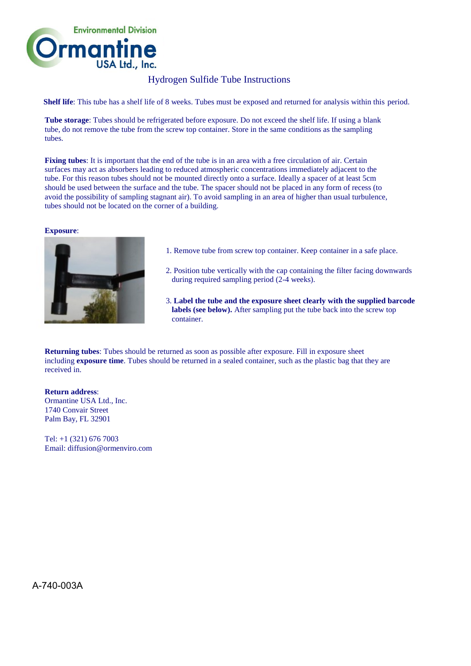

## Hydrogen Sulfide Tube Instructions

**Shelf life**: This tube has a shelf life of 8 weeks. Tubes must be exposed and returned for analysis within this period.

**Tube storage**: Tubes should be refrigerated before exposure. Do not exceed the shelf life. If using a blank tube, do not remove the tube from the screw top container. Store in the same conditions as the sampling tubes.

**Fixing tubes**: It is important that the end of the tube is in an area with a free circulation of air. Certain surfaces may act as absorbers leading to reduced atmospheric concentrations immediately adjacent to the tube. For this reason tubes should not be mounted directly onto a surface. Ideally a spacer of at least 5cm should be used between the surface and the tube. The spacer should not be placed in any form of recess (to avoid the possibility of sampling stagnant air). To avoid sampling in an area of higher than usual turbulence, tubes should not be located on the corner of a building.

## **Exposure**:



- 1. Remove tube from screw top container. Keep container in a safe place.
- 2. Position tube vertically with the cap containing the filter facing downwards during required sampling period (2-4 weeks).
- 3. **Label the tube and the exposure sheet clearly with the supplied barcode** labels (see below). After sampling put the tube back into the screw top container.

**Returning tubes**: Tubes should be returned as soon as possible after exposure. Fill in exposure sheet including **exposure time**. Tubes should be returned in a sealed container, such as the plastic bag that they are received in.

**Return address**: Ormantine USA Ltd., Inc. 1740 Convair Street Palm Bay, FL 32901

Tel: +1 (321) 676 7003 Email: diffusion@ormenviro.com

A-740-003A